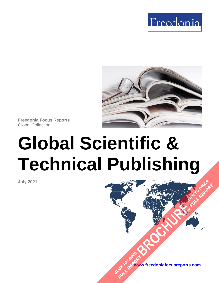



**Freedonia Focus Reports** Global Collection

# **Global Scientific & Technical Publishing**

**July 2021**

**[www.freedoniafocusreports.com](https://www.freedoniafocusreports.com/redirect.asp?progid=89534&url=/)** CLICK TO ORDER **FULL REPORT** 

**[BROCHURE](https://www.freedoniafocusreports.com/Global-Scientific-Technical-Publishing-FW25023/?progid=89541) CLICK TO ORDER** 

FULL REPORT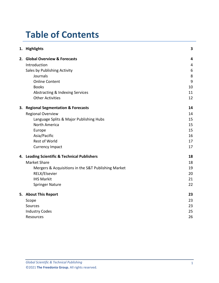# **Table of Contents**

|    | 1. Highlights                                       | 3  |
|----|-----------------------------------------------------|----|
|    | 2. Global Overview & Forecasts                      | 4  |
|    | Introduction                                        | 4  |
|    | Sales by Publishing Activity                        | 6  |
|    | Journals                                            | 8  |
|    | <b>Online Content</b>                               | 9  |
|    | <b>Books</b>                                        | 10 |
|    | Abstracting & Indexing Services                     | 11 |
|    | <b>Other Activities</b>                             | 12 |
| 3. | <b>Regional Segmentation &amp; Forecasts</b>        | 14 |
|    | <b>Regional Overview</b>                            | 14 |
|    | Language Splits & Major Publishing Hubs             | 15 |
|    | <b>North America</b>                                | 15 |
|    | Europe                                              | 15 |
|    | Asia/Pacific                                        | 16 |
|    | <b>Rest of World</b>                                | 17 |
|    | <b>Currency Impact</b>                              | 17 |
|    | 4. Leading Scientific & Technical Publishers        | 18 |
|    | <b>Market Share</b>                                 | 18 |
|    | Mergers & Acquisitions in the S&T Publishing Market | 19 |
|    | RELX/Elsevier                                       | 20 |
|    | <b>IHS Markit</b>                                   | 21 |
|    | <b>Springer Nature</b>                              | 22 |
|    | 5. About This Report                                | 23 |
|    | Scope                                               | 23 |
|    | Sources                                             | 23 |
|    | <b>Industry Codes</b>                               | 25 |
|    | Resources                                           | 26 |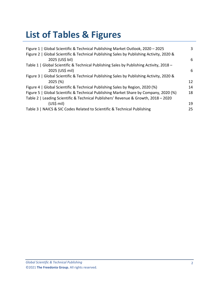# **List of Tables & Figures**

| Figure 1   Global Scientific & Technical Publishing Market Outlook, 2020 - 2025          | 3  |
|------------------------------------------------------------------------------------------|----|
| Figure 2   Global Scientific & Technical Publishing Sales by Publishing Activity, 2020 & |    |
| 2025 (US\$ bil)                                                                          | 6  |
| Table 1   Global Scientific & Technical Publishing Sales by Publishing Activity, 2018 -  |    |
| 2025 (US\$ mil)                                                                          | 6  |
| Figure 3   Global Scientific & Technical Publishing Sales by Publishing Activity, 2020 & |    |
| 2025(%)                                                                                  | 12 |
| Figure 4   Global Scientific & Technical Publishing Sales by Region, 2020 (%)            | 14 |
| Figure 5   Global Scientific & Technical Publishing Market Share by Company, 2020 (%)    | 18 |
| Table 2   Leading Scientific & Technical Publishers' Revenue & Growth, 2018 - 2020       |    |
| $(US$)$ mil)                                                                             | 19 |
| Table 3   NAICS & SIC Codes Related to Scientific & Technical Publishing                 | 25 |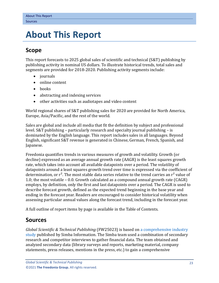# <span id="page-3-0"></span>**5. About This Report**

# <span id="page-3-1"></span>**Scope**

This report forecasts to 2025 global sales of scientific and technical (S&T) publishing by publishing activity in nominal US dollars. To illustrate historical trends, total sales and segments are provided for 2018-2020. Publishing activity segments include:

- journals
- online content
- books
- abstracting and indexing services
- other activities such as audiotapes and video content

World regional shares of S&T publishing sales for 2020 are provided for North America, Europe, Asia/Pacific, and the rest of the world.

Sales are global and include all media that fit the definition by subject and professional level. S&T publishing – particularly research and specialty journal publishing – is dominated by the English language. This report includes sales in all languages. Beyond English, significant S&T revenue is generated in Chinese, German, French, Spanish, and Japanese.

Freedonia quantifies trends in various measures of growth and volatility. Growth (or decline) expressed as an average annual growth rate (AAGR) is the least squares growth rate, which takes into account all available datapoints over a period. The volatility of datapoints around a least squares growth trend over time is expressed via the coefficient of determination, or  $r^2$ . The most stable data series relative to the trend carries an  $r^2$  value of 1.0; the most volatile – 0.0. Growth calculated as a compound annual growth rate (CAGR) employs, by definition, only the first and last datapoints over a period. The CAGR is used to describe forecast growth, defined as the expected trend beginning in the base year and ending in the forecast year. Readers are encouraged to consider historical volatility when assessing particular annual values along the forecast trend, including in the forecast year.

A full outline of report items by page is available in the Table of Contents.

# <span id="page-3-2"></span>**Sources**

*Global Scientific & Technical Publishing* (FW25023) is based on [a comprehensive industry](https://www.simbainformation.com/Global-Scientific-Technical-Publishing-14784500/?progid=89534)  [study](https://www.simbainformation.com/Global-Scientific-Technical-Publishing-14784500/?progid=89534) published by Simba Information. The Simba team used a combination of secondary research and competitor interviews to gather financial data. The team obtained and analyzed secondary data (library surveys and reports, marketing material, company statements, press releases, mentions in the press, etc.) to gain a comprehensive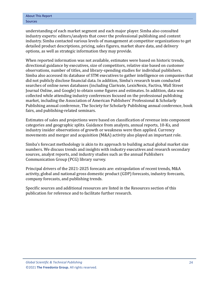understanding of each market segment and each major player. Simba also consulted industry experts: editors/analysts that cover the professional publishing and content industry. Simba contacted various levels of management at competitor organizations to get detailed product descriptions, pricing, sales figures, market share data, and delivery options, as well as strategic information they may provide.

When reported information was not available, estimates were based on historic trends, directional guidance by executives, size of competitors, relative size based on customer observations, number of titles, and library-spending studies for individual publishers. Simba also accessed its database of STM executives to gather intelligence on companies that did not publicly disclose financial data. In addition, Simba's research team conducted searches of online news databases (including Clarivate, LexisNexis, Factiva, Wall Street Journal Online, and Google) to obtain some figures and estimates. In addition, data was collected while attending industry conferences focused on the professional publishing market, including the Association of American Publishers' Professional & Scholarly Publishing annual conference, The Society for Scholarly Publishing annual conference, book fairs, and publishing-related seminars.

Estimates of sales and projections were based on classification of revenue into component categories and geographic splits. Guidance from analysts, annual reports, 10-Ks, and industry insider observations of growth or weakness were then applied. Currency movements and merger and acquisition (M&A) activity also played an important role.

Simba's forecast methodology is akin to its approach to building actual global market size numbers. We discuss trends and insights with industry executives and research secondary sources, analyst reports, and industry studies such as the annual Publishers Communication Group (PCG) library survey.

Principal drivers of the 2021-2025 forecasts are: extrapolation of recent trends, M&A activity, global and national gross domestic product (GDP) forecasts, industry forecasts, company forecasts, and publishing trends.

Specific sources and additional resources are listed in the Resources section of this publication for reference and to facilitate further research.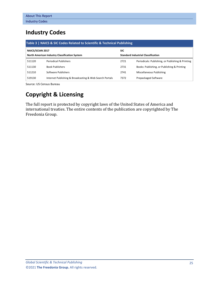# <span id="page-5-0"></span>**Industry Codes**

<span id="page-5-1"></span>

| Table 3   NAICS & SIC Codes Related to Scientific & Technical Publishing |                                                         |                                           |                                                   |  |  |  |
|--------------------------------------------------------------------------|---------------------------------------------------------|-------------------------------------------|---------------------------------------------------|--|--|--|
| NAICS/SCIAN 2017                                                         |                                                         |                                           |                                                   |  |  |  |
| <b>North American Industry Classification System</b>                     |                                                         | <b>Standard Industrial Classification</b> |                                                   |  |  |  |
| 511120                                                                   | <b>Periodical Publishers</b>                            | 2721                                      | Periodicals: Publishing, or Publishing & Printing |  |  |  |
| 511130                                                                   | <b>Book Publishers</b>                                  | 2731                                      | Books: Publishing, or Publishing & Printing       |  |  |  |
| 511210                                                                   | Software Publishers                                     | 2741                                      | Miscellaneous Publishing                          |  |  |  |
| 519130                                                                   | Internet Publishing & Broadcasting & Web Search Portals | 7372                                      | Prepackaged Software                              |  |  |  |

Source: US Census Bureau

# **Copyright & Licensing**

The full report is protected by copyright laws of the United States of America and international treaties. The entire contents of the publication are copyrighted by The Freedonia Group.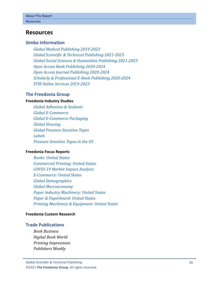## <span id="page-6-0"></span>**Resources**

## **Simba Information**

*[Global Medical Publishing 2019-2023](https://www.simbainformation.com/Global-Medical-Publishing-12536708/?progid=89534) [Global Scientific & Technical Publishing 2021-2025](https://www.simbainformation.com/Global-Scientific-Technical-Publishing-14784500/?progid=89534) Global Social Sciences [& Humanities Publishing 2021-2025](https://www.simbainformation.com/Global-Social-Sciences-Humanities-Publishing-14240578/?progid=89534) [Open Access Book Publishing 2020-2024](https://www.simbainformation.com/Open-Access-Book-Publishing-13834437/?progid=89534) [Open Access Journal Publishing 2020-2024](https://www.simbainformation.com/Open-Access-Journal-Publishing-13366208/?progid=89534) [Scholarly & Professional E-Book Publishing 2020-2024](https://www.simbainformation.com/Scholarly-Professional-Book-Publishing-13614714/?progid=89534) [STM Online Services 2019-2023](https://www.simbainformation.com/STM-Online-Services-12909764/?progid=89534)*

### **The Freedonia Group**

#### **[Freedonia Industry Studies](http://www.freedoniagroup.com/Home.aspx?ReferrerId=FL-Focus)**

*[Global Adhesives & Sealants](https://www.freedoniagroup.com/DocumentDetails.aspx?ReferrerId=FL-FOCUS&StudyId=3715) [Global E-Commerce](http://www.freedoniagroup.com/DocumentDetails.aspx?ReferrerId=FL-FOCUS&studyid=3724) [Global E-Commerce Packaging](http://www.freedoniagroup.com/DocumentDetails.aspx?ReferrerId=FL-FOCUS&studyid=3744) [Global Housing](http://www.freedoniagroup.com/DocumentDetails.aspx?ReferrerId=FL-FOCUS&studyid=3877) [Global Pressure Sensitive Tapes](http://www.freedoniagroup.com/DocumentDetails.aspx?ReferrerId=FL-FOCUS&studyid=4145) [Labels](https://www.freedoniagroup.com/DocumentDetails.aspx?ReferrerId=FL-FOCUS&StudyId=3852) [Pressure Sensitive Tapes in the US](http://www.freedoniagroup.com/DocumentDetails.aspx?ReferrerId=FL-FOCUS&studyid=3645)*

#### **[Freedonia Focus Reports](https://www.freedoniafocusreports.com/redirect.asp?progid=89534&url=/)**

*[Books: United States](https://www.freedoniafocusreports.com/Books-United-States-FF25010/?progid=89534) [Commercial Printing: United States](https://www.freedoniafocusreports.com/Commercial-Printing-United-States-FF25012/?progid=89534) [COVID-19 Market Impact Analysis](https://www.freedoniafocusreports.com/COVID-19-Market-Impact-Analysis-FW95079/?progid=89534) [E-Commerce: United States](https://www.freedoniafocusreports.com/E-Commerce-United-States-FF90043/?progid=89534) [Global Demographics](https://www.freedoniafocusreports.com/Global-Demographics-FW95050/?progid=89534) [Global Macroeconomy](https://www.freedoniafocusreports.com/Global-Macroeconomy-FW95051/?progid=89534) [Paper Industry Machinery: United States](https://www.freedoniafocusreports.com/Paper-Industry-Machinery-United-States-FF75023/?progid=89534) [Paper & Paperboard: United States](https://www.freedoniafocusreports.com/Paper-Paperboard-United-States-FF25011/?progid=89534) [Printing Machinery & Equipment: United States](https://www.freedoniafocusreports.com/pub/12733010.html/?progid=89534)*

#### **[Freedonia Custom Research](http://www.freedoniagroup.com/CustomResearch.aspx?ReferrerId=FL-Focus)**

### **Trade Publications**

*Book Business Digital Book World Printing Impressions Publishers Weekly*